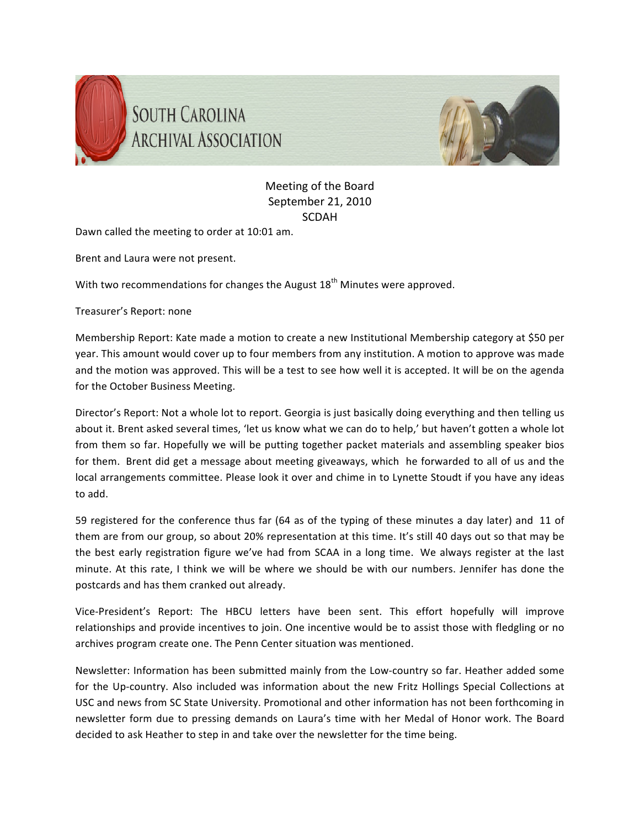



## Meeting
of
the
Board September
21,
2010 SCDAH

Dawn called the meeting to order at 10:01 am.

Brent
and
Laura
were
not
present.

With two recommendations for changes the August  $18<sup>th</sup>$  Minutes were approved.

Treasurer's
Report:
none

Membership Report: Kate made a motion to create a new Institutional Membership category at \$50 per year. This amount would cover up to four members from any institution. A motion to approve was made and the motion was approved. This will be a test to see how well it is accepted. It will be on the agenda for
the
October
Business
Meeting.

Director's Report: Not a whole lot to report. Georgia is just basically doing everything and then telling us about it. Brent asked several times, 'let us know what we can do to help,' but haven't gotten a whole lot from them so far. Hopefully we will be putting together packet materials and assembling speaker bios for them. Brent did get a message about meeting giveaways, which he forwarded to all of us and the local arrangements committee. Please look it over and chime in to Lynette Stoudt if you have any ideas to
add.

59 registered for the conference thus far (64 as of the typing of these minutes a day later) and 11 of them are from our group, so about 20% representation at this time. It's still 40 days out so that may be the best early registration figure we've had from SCAA in a long time. We always register at the last minute. At this rate, I think we will be where we should be with our numbers. Jennifer has done the postcards
and
has
them
cranked
out
already.

Vice-President's Report: The HBCU letters have been sent. This effort hopefully will improve relationships and provide incentives to join. One incentive would be to assist those with fledgling or no archives
program
create
one.
The
Penn
Center
situation
was
mentioned.

Newsletter: Information has been submitted mainly from the Low-country so far. Heather added some for the Up-country. Also included was information about the new Fritz Hollings Special Collections at USC and news from SC State University. Promotional and other information has not been forthcoming in newsletter form due to pressing demands on Laura's time with her Medal of Honor work. The Board decided to ask Heather to step in and take over the newsletter for the time being.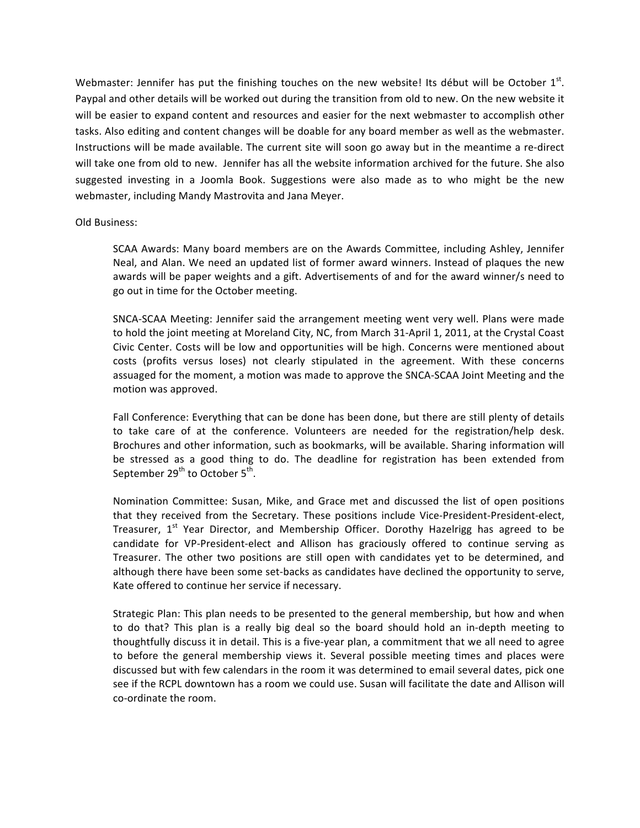Webmaster: Jennifer has put the finishing touches on the new website! Its début will be October  $1<sup>st</sup>$ . Paypal and other details will be worked out during the transition from old to new. On the new website it will be easier to expand content and resources and easier for the next webmaster to accomplish other tasks. Also editing and content changes will be doable for any board member as well as the webmaster. Instructions will be made available. The current site will soon go away but in the meantime a re-direct will take one from old to new. Jennifer has all the website information archived for the future. She also suggested investing in a Joomla Book. Suggestions were also made as to who might be the new webmaster,
including
Mandy
Mastrovita
and
Jana
Meyer.

Old
Business:

SCAA Awards: Many board members are on the Awards Committee, including Ashley, Jennifer Neal, and Alan. We need an updated list of former award winners. Instead of plaques the new awards will be paper weights and a gift. Advertisements of and for the award winner/s need to go
out
in
time
for
the
October
meeting.

SNCA-SCAA Meeting: Jennifer said the arrangement meeting went very well. Plans were made to hold the joint meeting at Moreland City, NC, from March 31-April 1, 2011, at the Crystal Coast Civic Center. Costs will be low and opportunities will be high. Concerns were mentioned about costs (profits versus loses) not clearly stipulated in the agreement. With these concerns assuaged
for
the
moment,
a
motion
was
made
to
approve
the
SNCA‐SCAA
Joint
Meeting
and
the motion
was
approved.

Fall Conference: Everything that can be done has been done, but there are still plenty of details to take care of at the conference. Volunteers are needed for the registration/help desk. Brochures and other information, such as bookmarks, will be available. Sharing information will be stressed as a good thing to do. The deadline for registration has been extended from September 29<sup>th</sup> to October 5<sup>th</sup>.

Nomination Committee: Susan, Mike, and Grace met and discussed the list of open positions that they received from the Secretary. These positions include Vice-President-President-elect, Treasurer, 1<sup>st</sup> Year Director, and Membership Officer. Dorothy Hazelrigg has agreed to be candidate for VP-President-elect and Allison has graciously offered to continue serving as Treasurer. The other two positions are still open with candidates yet to be determined, and although there have been some set-backs as candidates have declined the opportunity to serve, Kate
offered
to
continue
her
service
if
necessary.

Strategic Plan: This plan needs to be presented to the general membership, but how and when to do that? This plan is a really big deal so the board should hold an in-depth meeting to thoughtfully discuss it in detail. This is a five-year plan, a commitment that we all need to agree to before the general membership views it. Several possible meeting times and places were discussed
but
with
few
calendars
in
the
room
it
was
determined
to
email
several
dates,
pick
one see if the RCPL downtown has a room we could use. Susan will facilitate the date and Allison will co‐ordinate
the
room.